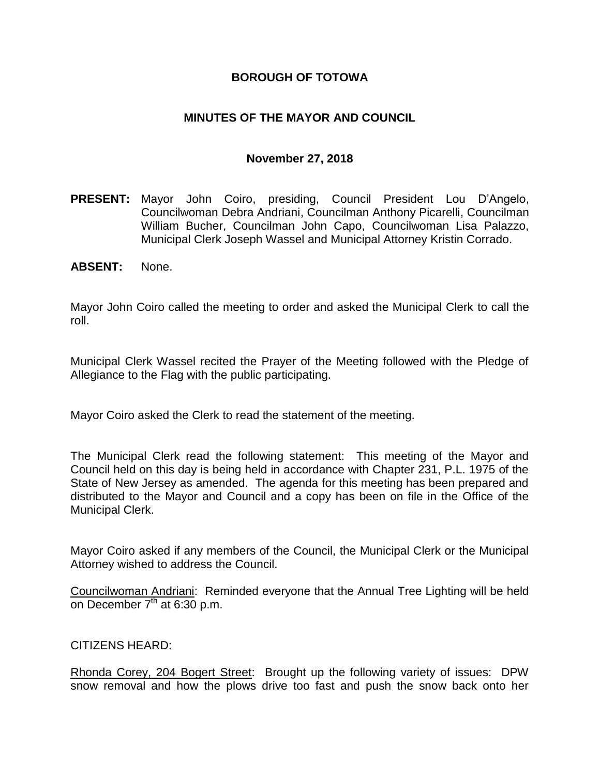## **BOROUGH OF TOTOWA**

## **MINUTES OF THE MAYOR AND COUNCIL**

### **November 27, 2018**

- **PRESENT:** Mayor John Coiro, presiding, Council President Lou D'Angelo, Councilwoman Debra Andriani, Councilman Anthony Picarelli, Councilman William Bucher, Councilman John Capo, Councilwoman Lisa Palazzo, Municipal Clerk Joseph Wassel and Municipal Attorney Kristin Corrado.
- **ABSENT:** None.

Mayor John Coiro called the meeting to order and asked the Municipal Clerk to call the roll.

Municipal Clerk Wassel recited the Prayer of the Meeting followed with the Pledge of Allegiance to the Flag with the public participating.

Mayor Coiro asked the Clerk to read the statement of the meeting.

The Municipal Clerk read the following statement: This meeting of the Mayor and Council held on this day is being held in accordance with Chapter 231, P.L. 1975 of the State of New Jersey as amended. The agenda for this meeting has been prepared and distributed to the Mayor and Council and a copy has been on file in the Office of the Municipal Clerk.

Mayor Coiro asked if any members of the Council, the Municipal Clerk or the Municipal Attorney wished to address the Council.

Councilwoman Andriani: Reminded everyone that the Annual Tree Lighting will be held on December  $7<sup>th</sup>$  at 6:30 p.m.

#### CITIZENS HEARD:

Rhonda Corey, 204 Bogert Street: Brought up the following variety of issues: DPW snow removal and how the plows drive too fast and push the snow back onto her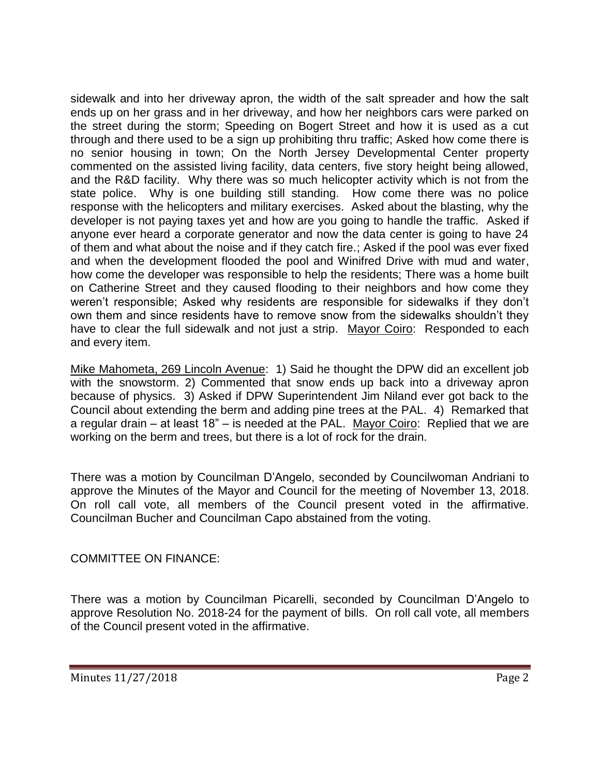sidewalk and into her driveway apron, the width of the salt spreader and how the salt ends up on her grass and in her driveway, and how her neighbors cars were parked on the street during the storm; Speeding on Bogert Street and how it is used as a cut through and there used to be a sign up prohibiting thru traffic; Asked how come there is no senior housing in town; On the North Jersey Developmental Center property commented on the assisted living facility, data centers, five story height being allowed, and the R&D facility. Why there was so much helicopter activity which is not from the state police. Why is one building still standing. How come there was no police response with the helicopters and military exercises. Asked about the blasting, why the developer is not paying taxes yet and how are you going to handle the traffic. Asked if anyone ever heard a corporate generator and now the data center is going to have 24 of them and what about the noise and if they catch fire.; Asked if the pool was ever fixed and when the development flooded the pool and Winifred Drive with mud and water, how come the developer was responsible to help the residents; There was a home built on Catherine Street and they caused flooding to their neighbors and how come they weren't responsible; Asked why residents are responsible for sidewalks if they don't own them and since residents have to remove snow from the sidewalks shouldn't they have to clear the full sidewalk and not just a strip. Mayor Coiro: Responded to each and every item.

Mike Mahometa, 269 Lincoln Avenue: 1) Said he thought the DPW did an excellent job with the snowstorm. 2) Commented that snow ends up back into a driveway apron because of physics. 3) Asked if DPW Superintendent Jim Niland ever got back to the Council about extending the berm and adding pine trees at the PAL. 4) Remarked that a regular drain – at least 18" – is needed at the PAL. Mayor Coiro: Replied that we are working on the berm and trees, but there is a lot of rock for the drain.

There was a motion by Councilman D'Angelo, seconded by Councilwoman Andriani to approve the Minutes of the Mayor and Council for the meeting of November 13, 2018. On roll call vote, all members of the Council present voted in the affirmative. Councilman Bucher and Councilman Capo abstained from the voting.

# COMMITTEE ON FINANCE:

There was a motion by Councilman Picarelli, seconded by Councilman D'Angelo to approve Resolution No. 2018-24 for the payment of bills. On roll call vote, all members of the Council present voted in the affirmative.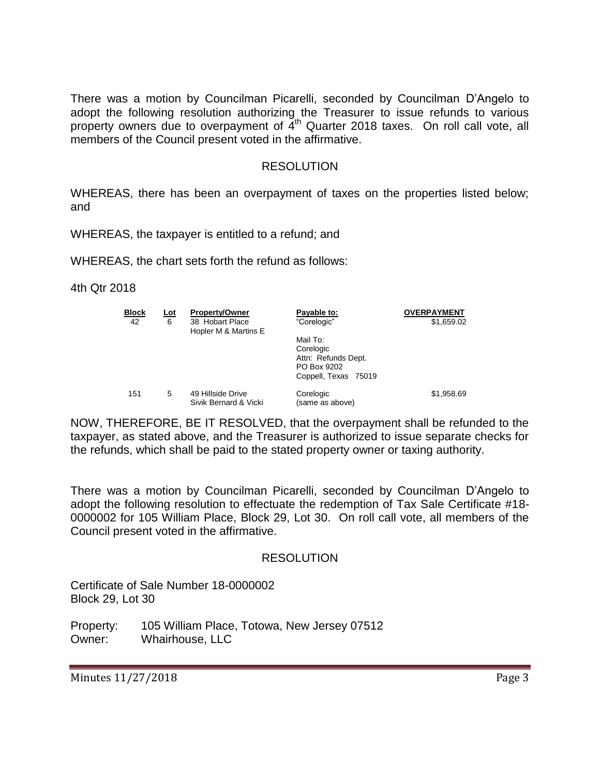There was a motion by Councilman Picarelli, seconded by Councilman D'Angelo to adopt the following resolution authorizing the Treasurer to issue refunds to various property owners due to overpayment of  $4<sup>th</sup>$  Quarter 2018 taxes. On roll call vote, all members of the Council present voted in the affirmative.

#### RESOLUTION

WHEREAS, there has been an overpayment of taxes on the properties listed below; and

WHEREAS, the taxpayer is entitled to a refund; and

WHEREAS, the chart sets forth the refund as follows:

4th Qtr 2018

| <b>Block</b><br>42 | <u>Lot</u><br>6 | <b>Property/Owner</b><br>38 Hobart Place<br>Hopler M & Martins E | Payable to:<br>"Corelogic"                                                          | <b>OVERPAYMENT</b><br>\$1,659.02 |
|--------------------|-----------------|------------------------------------------------------------------|-------------------------------------------------------------------------------------|----------------------------------|
|                    |                 |                                                                  | Mail To:<br>Corelogic<br>Attn: Refunds Dept.<br>PO Box 9202<br>Coppell, Texas 75019 |                                  |
| 151                | 5               | 49 Hillside Drive<br>Sivik Bernard & Vicki                       | Corelogic<br>(same as above)                                                        | \$1,958.69                       |

NOW, THEREFORE, BE IT RESOLVED, that the overpayment shall be refunded to the taxpayer, as stated above, and the Treasurer is authorized to issue separate checks for the refunds, which shall be paid to the stated property owner or taxing authority.

There was a motion by Councilman Picarelli, seconded by Councilman D'Angelo to adopt the following resolution to effectuate the redemption of Tax Sale Certificate #18- 0000002 for 105 William Place, Block 29, Lot 30. On roll call vote, all members of the Council present voted in the affirmative.

#### RESOLUTION

Certificate of Sale Number 18-0000002 Block 29, Lot 30

Property: 105 William Place, Totowa, New Jersey 07512 Owner: Whairhouse, LLC

Minutes 11/27/2018 **Page 3**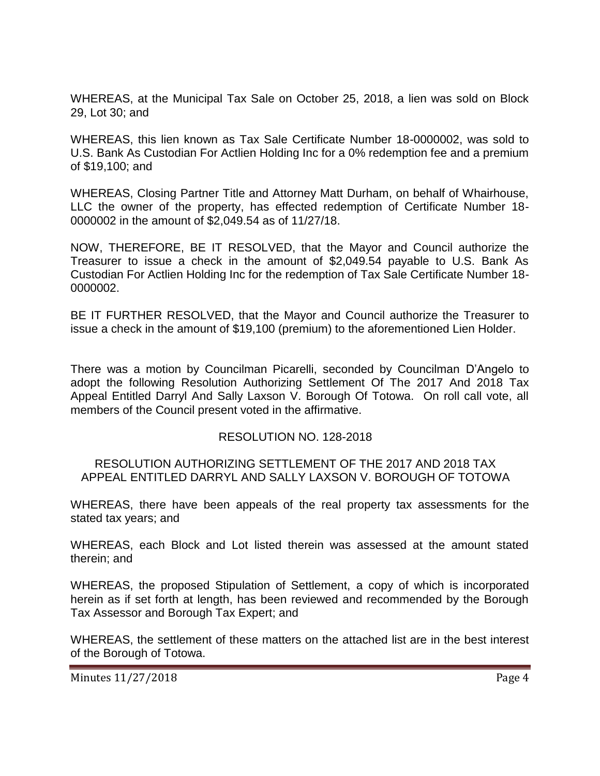WHEREAS, at the Municipal Tax Sale on October 25, 2018, a lien was sold on Block 29, Lot 30; and

WHEREAS, this lien known as Tax Sale Certificate Number 18-0000002, was sold to U.S. Bank As Custodian For Actlien Holding Inc for a 0% redemption fee and a premium of \$19,100; and

WHEREAS, Closing Partner Title and Attorney Matt Durham, on behalf of Whairhouse, LLC the owner of the property, has effected redemption of Certificate Number 18- 0000002 in the amount of \$2,049.54 as of 11/27/18.

NOW, THEREFORE, BE IT RESOLVED, that the Mayor and Council authorize the Treasurer to issue a check in the amount of \$2,049.54 payable to U.S. Bank As Custodian For Actlien Holding Inc for the redemption of Tax Sale Certificate Number 18- 0000002.

BE IT FURTHER RESOLVED, that the Mayor and Council authorize the Treasurer to issue a check in the amount of \$19,100 (premium) to the aforementioned Lien Holder.

There was a motion by Councilman Picarelli, seconded by Councilman D'Angelo to adopt the following Resolution Authorizing Settlement Of The 2017 And 2018 Tax Appeal Entitled Darryl And Sally Laxson V. Borough Of Totowa. On roll call vote, all members of the Council present voted in the affirmative.

#### RESOLUTION NO. 128-2018

#### RESOLUTION AUTHORIZING SETTLEMENT OF THE 2017 AND 2018 TAX APPEAL ENTITLED DARRYL AND SALLY LAXSON V. BOROUGH OF TOTOWA

WHEREAS, there have been appeals of the real property tax assessments for the stated tax years; and

WHEREAS, each Block and Lot listed therein was assessed at the amount stated therein; and

WHEREAS, the proposed Stipulation of Settlement, a copy of which is incorporated herein as if set forth at length, has been reviewed and recommended by the Borough Tax Assessor and Borough Tax Expert; and

WHEREAS, the settlement of these matters on the attached list are in the best interest of the Borough of Totowa.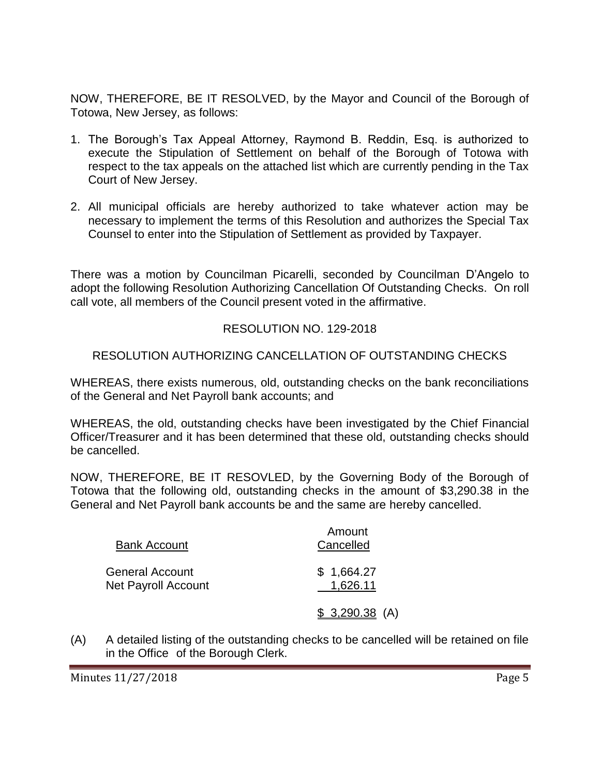NOW, THEREFORE, BE IT RESOLVED, by the Mayor and Council of the Borough of Totowa, New Jersey, as follows:

- 1. The Borough's Tax Appeal Attorney, Raymond B. Reddin, Esq. is authorized to execute the Stipulation of Settlement on behalf of the Borough of Totowa with respect to the tax appeals on the attached list which are currently pending in the Tax Court of New Jersey.
- 2. All municipal officials are hereby authorized to take whatever action may be necessary to implement the terms of this Resolution and authorizes the Special Tax Counsel to enter into the Stipulation of Settlement as provided by Taxpayer.

There was a motion by Councilman Picarelli, seconded by Councilman D'Angelo to adopt the following Resolution Authorizing Cancellation Of Outstanding Checks. On roll call vote, all members of the Council present voted in the affirmative.

# RESOLUTION NO. 129-2018

# RESOLUTION AUTHORIZING CANCELLATION OF OUTSTANDING CHECKS

WHEREAS, there exists numerous, old, outstanding checks on the bank reconciliations of the General and Net Payroll bank accounts; and

WHEREAS, the old, outstanding checks have been investigated by the Chief Financial Officer/Treasurer and it has been determined that these old, outstanding checks should be cancelled.

NOW, THEREFORE, BE IT RESOVLED, by the Governing Body of the Borough of Totowa that the following old, outstanding checks in the amount of \$3,290.38 in the General and Net Payroll bank accounts be and the same are hereby cancelled.

| <b>Bank Account</b>                           | Amount<br>Cancelled    |  |
|-----------------------------------------------|------------------------|--|
| General Account<br><b>Net Payroll Account</b> | \$1,664.27<br>1,626.11 |  |
|                                               | $$3,290.38$ (A)        |  |

(A) A detailed listing of the outstanding checks to be cancelled will be retained on file in the Office of the Borough Clerk.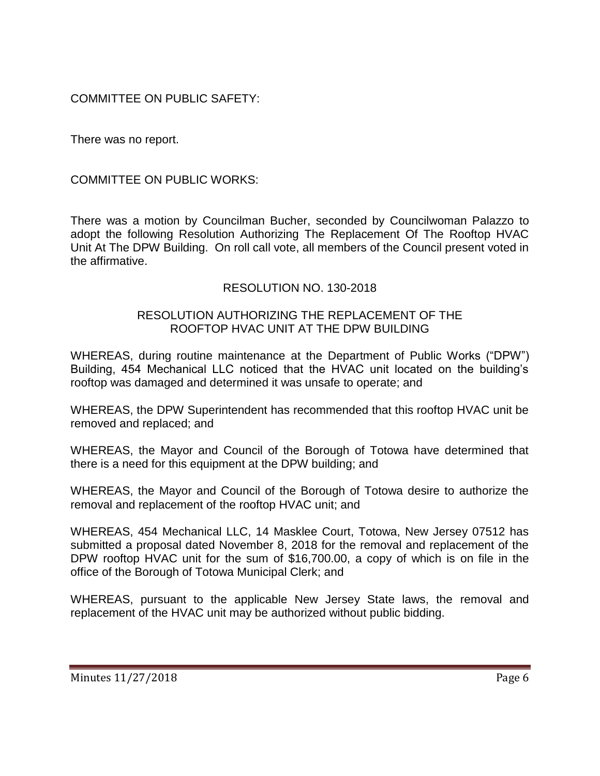COMMITTEE ON PUBLIC SAFETY:

There was no report.

COMMITTEE ON PUBLIC WORKS:

There was a motion by Councilman Bucher, seconded by Councilwoman Palazzo to adopt the following Resolution Authorizing The Replacement Of The Rooftop HVAC Unit At The DPW Building. On roll call vote, all members of the Council present voted in the affirmative.

## RESOLUTION NO. 130-2018

### RESOLUTION AUTHORIZING THE REPLACEMENT OF THE ROOFTOP HVAC UNIT AT THE DPW BUILDING

WHEREAS, during routine maintenance at the Department of Public Works ("DPW") Building, 454 Mechanical LLC noticed that the HVAC unit located on the building's rooftop was damaged and determined it was unsafe to operate; and

WHEREAS, the DPW Superintendent has recommended that this rooftop HVAC unit be removed and replaced; and

WHEREAS, the Mayor and Council of the Borough of Totowa have determined that there is a need for this equipment at the DPW building; and

WHEREAS, the Mayor and Council of the Borough of Totowa desire to authorize the removal and replacement of the rooftop HVAC unit; and

WHEREAS, 454 Mechanical LLC, 14 Masklee Court, Totowa, New Jersey 07512 has submitted a proposal dated November 8, 2018 for the removal and replacement of the DPW rooftop HVAC unit for the sum of \$16,700.00, a copy of which is on file in the office of the Borough of Totowa Municipal Clerk; and

WHEREAS, pursuant to the applicable New Jersey State laws, the removal and replacement of the HVAC unit may be authorized without public bidding.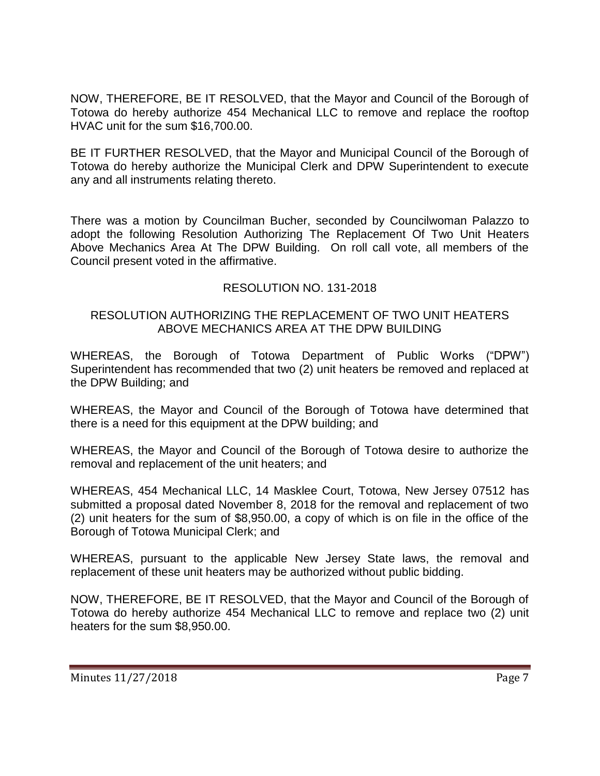NOW, THEREFORE, BE IT RESOLVED, that the Mayor and Council of the Borough of Totowa do hereby authorize 454 Mechanical LLC to remove and replace the rooftop HVAC unit for the sum \$16,700.00.

BE IT FURTHER RESOLVED, that the Mayor and Municipal Council of the Borough of Totowa do hereby authorize the Municipal Clerk and DPW Superintendent to execute any and all instruments relating thereto.

There was a motion by Councilman Bucher, seconded by Councilwoman Palazzo to adopt the following Resolution Authorizing The Replacement Of Two Unit Heaters Above Mechanics Area At The DPW Building. On roll call vote, all members of the Council present voted in the affirmative.

# RESOLUTION NO. 131-2018

## RESOLUTION AUTHORIZING THE REPLACEMENT OF TWO UNIT HEATERS ABOVE MECHANICS AREA AT THE DPW BUILDING

WHEREAS, the Borough of Totowa Department of Public Works ("DPW") Superintendent has recommended that two (2) unit heaters be removed and replaced at the DPW Building; and

WHEREAS, the Mayor and Council of the Borough of Totowa have determined that there is a need for this equipment at the DPW building; and

WHEREAS, the Mayor and Council of the Borough of Totowa desire to authorize the removal and replacement of the unit heaters; and

WHEREAS, 454 Mechanical LLC, 14 Masklee Court, Totowa, New Jersey 07512 has submitted a proposal dated November 8, 2018 for the removal and replacement of two (2) unit heaters for the sum of \$8,950.00, a copy of which is on file in the office of the Borough of Totowa Municipal Clerk; and

WHEREAS, pursuant to the applicable New Jersey State laws, the removal and replacement of these unit heaters may be authorized without public bidding.

NOW, THEREFORE, BE IT RESOLVED, that the Mayor and Council of the Borough of Totowa do hereby authorize 454 Mechanical LLC to remove and replace two (2) unit heaters for the sum \$8,950.00.